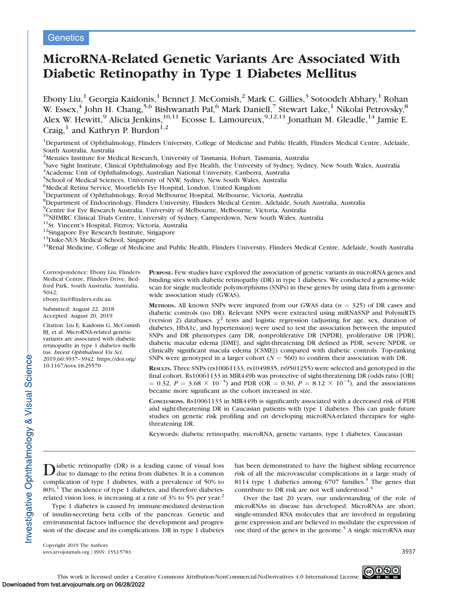# **Genetics**

# MicroRNA-Related Genetic Variants Are Associated With Diabetic Retinopathy in Type 1 Diabetes Mellitus

Ebony Liu, $^1$  Georgia Kaidonis, $^1$  Bennet J. McComish, $^2$  Mark C. Gillies, $^3$  Sotoodeh Abhary, $^1$  Rohan W. Essex, $^4$  John H. Chang, $^{5,6}$  Bishwanath Pal, $^6$  Mark Daniell, $^7$  Stewart Lake, $^1$  Nikolai Petrovsky, $^8$ Alex W. Hewitt,<sup>9</sup> Alicia Jenkins,<sup>10,11</sup> Ecosse L. Lamoureux,<sup>9,12,13</sup> Jonathan M. Gleadle,<sup>14</sup> Jamie E. Craig, $<sup>1</sup>$  and Kathryn P. Burdon<sup>1,2</sup></sup>

<sup>1</sup>Department of Ophthalmology, Flinders University, College of Medicine and Public Health, Flinders Medical Centre, Adelaide, South Australia, Australia

<sup>2</sup>Menzies Institute for Medical Research, University of Tasmania, Hobart, Tasmania, Australia

<sup>3</sup>Save Sight Institute, Clinical Ophthalmology and Eye Health, the University of Sydney, Sydney, New South Wales, Australia

4 Academic Unit of Ophthalmology, Australian National University, Canberra, Australia

<sup>5</sup>School of Medical Sciences, University of NSW, Sydney, New South Wales, Australia

6 Medical Retina Service, Moorfields Eye Hospital, London, United Kingdom

7 Department of Ophthalmology, Royal Melbourne Hospital, Melbourne, Victoria, Australia

8 Department of Endocrinology, Flinders University, Flinders Medical Centre, Adelaide, South Australia, Australia

<sup>9</sup>Centre for Eye Research Australia, University of Melbourne, Melbourne, Victoria, Australia

<sup>10</sup>NHMRC Clinical Trials Centre, University of Sydney, Camperdown, New South Wales, Australia<br><sup>11</sup>St. Vincent's Hospital, Fitzroy, Victoria, Australia<br><sup>12</sup>Singapore Eye Research Institute, Singapore<br><sup>13</sup>Duke-NUS Medical

Correspondence: Ebony Liu, Flinders Medical Centre, Flinders Drive, Bedford Park, South Australia, Australia, 5042;

ebony.liu@flinders.edu.au.

Submitted: August 22, 2018 Accepted: August 20, 2019

Citation: Liu E, Kaidonis G, McComish BJ, et al. MicroRNA-related genetic variants are associated with diabetic retinopathy in type 1 diabetes mellitus. Invest Ophthalmol Vis Sci. 2019;60:3937–3942. https://doi.org/ 10.1167/iovs.18-25570

PURPOSE. Few studies have explored the association of genetic variants in microRNA genes and binding sites with diabetic retinopathy (DR) in type 1 diabetes. We conducted a genome-wide scan for single nucleotide polymorphisms (SNPs) in these genes by using data from a genomewide association study (GWAS).

METHODS. All known SNPs were imputed from our GWAS data ( $n = 325$ ) of DR cases and diabetic controls (no DR). Relevant SNPS were extracted using miRNASNP and PolymiRTS (version 2) databases.  $\chi^2$  tests and logistic regression (adjusting for age, sex, duration of diabetes, HbA1c, and hypertension) were used to test the association between the imputed SNPs and DR phenotypes (any DR, nonproliferative DR [NPDR], proliferative DR [PDR], diabetic macular edema [DME], and sight-threatening DR defined as PDR, severe NPDR, or clinically significant macula edema [CSME]) compared with diabetic controls. Top-ranking SNPs were genotyped in a larger cohort ( $N = 560$ ) to confirm their association with DR.

RESULTS. Three SNPs (rs10061133, rs1049835, rs9501255) were selected and genotyped in the final cohort. Rs10061133 in MIR449b was protective of sight-threatening DR (odds ratio [OR]  $= 0.32, P = 3.68 \times 10^{-4}$  and PDR (OR = 0.30,  $P = 8.12 \times 10^{-4}$ ), and the associations became more significant as the cohort increased in size.

CONCLUSIONS. Rs10061133 in MIR449b is significantly associated with a decreased risk of PDR and sight-threatening DR in Caucasian patients with type 1 diabetes. This can guide future studies on genetic risk profiling and on developing microRNA-related therapies for sightthreatening DR.

Keywords: diabetic retinopathy, microRNA, genetic variants, type 1 diabetes, Caucasian

Diabetic retinopathy (DR) is a leading cause of visual loss due to damage to the retina from diabetes. It is a common complication of type 1 diabetes, with a prevalence of 50% to 80%.<sup>1</sup> The incidence of type 1 diabetes, and therefore diabetesrelated vision loss, is increasing at a rate of 3% to 5% per year.<sup>2</sup>

Type 1 diabetes is caused by immune-mediated destruction of insulin-secreting beta cells of the pancreas. Genetic and environmental factors influence the development and progression of the disease and its complications. DR in type 1 diabetes has been demonstrated to have the highest sibling recurrence risk of all the microvascular complications in a large study of 8114 type 1 diabetics among  $6707$  families.<sup>3</sup> The genes that contribute to DR risk are not well understood.<sup>4</sup>

Over the last 20 years, our understanding of the role of microRNAs in disease has developed. MicroRNAs are short, single-stranded RNA molecules that are involved in regulating gene expression and are believed to modulate the expression of one third of the genes in the genome.<sup>5</sup> A single microRNA may

Copyright 2019 The Authors iovs.arvojournals.org j ISSN: 1552-5783 3937

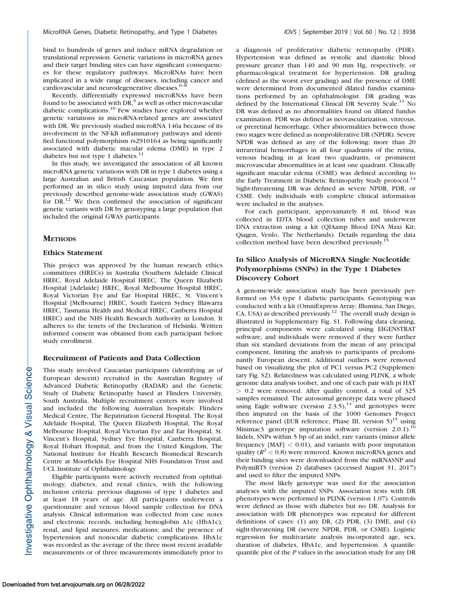bind to hundreds of genes and induce mRNA degradation or translational repression. Genetic variations in microRNA genes and their target binding sites can have significant consequences for these regulatory pathways. MicroRNAs have been implicated in a wide range of diseases, including cancer and cardiovascular and neurodegenerative diseases.<sup>6–</sup>

Recently, differentially expressed microRNAs have been found to be associated with  $\overline{DR}^9$ , as well as other microvascular diabetic complications.<sup>10</sup> Few studies have explored whether genetic variations in microRNA-related genes are associated with DR. We previously studied microRNA 146a because of its involvement in the NF-kB inflammatory pathways and identified functional polymorphism rs2910164 as being significantly associated with diabetic macular edema (DME) in type 2 diabetes but not type 1 diabetes.<sup>11</sup>

In this study, we investigated the association of all known microRNA genetic variations with DR in type 1 diabetes using a large Australian and British Caucasian population. We first performed an in silico study using imputed data from our previously described genome-wide association study (GWAS) for  $DR$ <sup>12</sup> We then confirmed the association of significant genetic variants with DR by genotyping a large population that included the original GWAS participants.

#### **METHODS**

#### Ethics Statement

This project was approved by the human research ethics committees (HRECs) in Australia (Southern Adelaide Clinical HREC, Royal Adelaide Hospital HREC, The Queen Elizabeth Hospital [Adelaide] HREC, Royal Melbourne Hospital HREC, Royal Victorian Eye and Ear Hospital HREC, St. Vincent's Hospital [Melbourne] HREC, South Eastern Sydney Illawarra HREC, Tasmania Health and Medical HREC, Canberra Hospital HREC) and the NHS Health Research Authority in London. It adheres to the tenets of the Declaration of Helsinki. Written informed consent was obtained from each participant before study enrollment.

#### Recruitment of Patients and Data Collection

This study involved Caucasian participants (identifying as of European descent) recruited in the Australian Registry of Advanced Diabetic Retinopathy (RADAR) and the Genetic Study of Diabetic Retinopathy based at Flinders University, South Australia. Multiple recruitment centers were involved and included the following Australian hospitals: Flinders Medical Centre, The Repatriation General Hospital, The Royal Adelaide Hospital, The Queen Elizabeth Hospital, The Royal Melbourne Hospital, Royal Victorian Eye and Ear Hospital, St. Vincent's Hospital, Sydney Eye Hospital, Canberra Hospital, Royal Hobart Hospital, and from the United Kingdom, The National Institute for Health Research Biomedical Research Centre at Moorfields Eye Hospital NHS Foundation Trust and UCL Institute of Ophthalmology.

Eligible participants were actively recruited from ophthalmology, diabetes, and renal clinics, with the following inclusion criteria: previous diagnosis of type 1 diabetes and at least 18 years of age. All participants underwent a questionnaire and venous blood sample collection for DNA analysis. Clinical information was collected from case notes and electronic records, including hemoglobin A1c (HbA1c), renal, and lipid measures; medications; and the presence of hypertension and nonocular diabetic complications. HbA1c was recorded as the average of the three most recent available measurements or of three measurements immediately prior to

a diagnosis of proliferative diabetic retinopathy (PDR). Hypertension was defined as systolic and diastolic blood pressure greater than 140 and 90 mm Hg, respectively, or pharmacological treatment for hypertension. DR grading (defined as the worst ever grading) and the presence of DME were determined from documented dilated fundus examinations performed by an ophthalmologist. DR grading was defined by the International Clinical DR Severity Scale.<sup>13</sup> No DR was defined as no abnormalities found on dilated fundus examination. PDR was defined as neovascularization, vitreous, or preretinal hemorrhage. Other abnormalities between those two stages were defined as nonproliferative DR (NPDR). Severe NPDR was defined as any of the following: more than 20 intraretinal hemorrhages in all four quadrants of the retina, venous beading in at least two quadrants, or prominent microvascular abnormalities in at least one quadrant. Clinically significant macular edema (CSME) was defined according to the Early Treatment in Diabetic Retinopathy Study protocol.<sup>14</sup> Sight-threatening DR was defined as severe NPDR, PDR, or CSME. Only individuals with complete clinical information were included in the analyses.

For each participant, approximately 8 mL blood was collected in EDTA blood collection tubes and underwent DNA extraction using a kit (QIAamp Blood DNA Maxi Kit; Qiagen, Venlo, The Netherlands). Details regarding the data collection method have been described previously.<sup>1</sup>

# In Silico Analysis of MicroRNA Single Nucleotide Polymorphisms (SNPs) in the Type 1 Diabetes Discovery Cohort

A genome-wide association study has been previously performed on 354 type 1 diabetic participants. Genotyping was conducted with a kit (OmniExpress Array; Illumina, San Diego, CA, USA) as described previously.12 The overall study design is illustrated in [Supplementary Fig. S1](https://arvo.silverchair-cdn.com/arvo/content_public/journal/iovs/938183/iovs-60-12-10_s04.pdf?Expires=1569008745&Signature=t~exbmtoOMpGOee44zoCyqdncWA0K50naSiO~urRazdiOYGPkTghTBvyK2agGXOZs1trpK8dGNcVJrHkiL~XB3t6lltcIMUkzNaQo64I3y8ir8WziqCu~yLbDlvfw9xy3QROYb3wurB26DBC6QKwICdzDBwY51-cLK~Zwt2m7WZ1xz7mOjn9CgXOjaJY-uu~hHPIt83tXDq8jf7uM8ymkMgk9alyqrag2k1E6K59YjJI~UfZmuoeIUz-mH0QUvdfJRESNf3F4hY3x4Sti1V1tS03OQ3dt8TzVBbZ0tk~SmYvRp27ygIu9elmgYyXXie0xtIQF9qB1EhmxgQn0mWSwA__&Key-Pair-Id=APKAIE5G5CRDK6RD3PGA). Following data cleaning, principal components were calculated using EIGENSTRAT software, and individuals were removed if they were further than six standard deviations from the mean of any principal component, limiting the analysis to participants of predominantly European descent. Additional outliers were removed based on visualizing the plot of PC1 versus PC2 ([Supplemen](https://arvo.silverchair-cdn.com/arvo/content_public/journal/iovs/938183/iovs-60-12-10_s05.pdf?Expires=1569008745&Signature=jOMe8vi3ExgI69yqcrkq2OmWE0gn7xpPz5p72AhOWdD63TEtPPtZHTnOGd5QLNKfiHtUBbacyfRBBABgfLOIDiWXpl~55Jf-oaNtOybpZJLbMIKkTDuNm0-IVGTlaQkRoFh2CymbqODSn1U3ZGTlvlee2jT9aSMdE1ZIynEGK1xXsXVr43iVuIWMWqkyj6Luixd0o3NnK5LYj0vjLWizqkXsfm3HtC~I5vWPU2tZqI9P3MryiMW74qTyjigiNVN6PvjiMdtY9OFdWlZuiOBt7gCKzf1zktcOicH5t4lddRxm53Q4mhMcnBjNDHlceDRPfblAaxt27Lgwb6q72NPZwQ__&Key-Pair-Id=APKAIE5G5CRDK6RD3PGA)[tary Fig. S2](https://arvo.silverchair-cdn.com/arvo/content_public/journal/iovs/938183/iovs-60-12-10_s05.pdf?Expires=1569008745&Signature=jOMe8vi3ExgI69yqcrkq2OmWE0gn7xpPz5p72AhOWdD63TEtPPtZHTnOGd5QLNKfiHtUBbacyfRBBABgfLOIDiWXpl~55Jf-oaNtOybpZJLbMIKkTDuNm0-IVGTlaQkRoFh2CymbqODSn1U3ZGTlvlee2jT9aSMdE1ZIynEGK1xXsXVr43iVuIWMWqkyj6Luixd0o3NnK5LYj0vjLWizqkXsfm3HtC~I5vWPU2tZqI9P3MryiMW74qTyjigiNVN6PvjiMdtY9OFdWlZuiOBt7gCKzf1zktcOicH5t4lddRxm53Q4mhMcnBjNDHlceDRPfblAaxt27Lgwb6q72NPZwQ__&Key-Pair-Id=APKAIE5G5CRDK6RD3PGA)). Relatedness was calculated using PLINK, a whole genome data analysis toolset, and one of each pair with pi HAT > 0.2 were removed. After quality control, a total of 325 samples remained. The autosomal genotype data were phased using Eagle software (version  $2.3.5$ ),  $^{14}$  and genotypes were then imputed on the basis of the 1000 Genomes Project reference panel (EUR reference, Phase III, version  $5$ )<sup>15</sup> using Minimac3 genotype imputation software (version 2.0.1).<sup>16</sup> Indels, SNPs within 5 bp of an indel, rare variants (minor allele frequency  $[MAF] < 0.01$ ), and variants with poor imputation quality ( $R^2$  < 0.8) were removed. Known microRNA genes and their binding sites were downloaded from the miRNASNP and PolymiRTS (version 2) databases (accessed August 31, 2017) and used to filter the imputed SNPs.

The most likely genotype was used for the association analyses with the imputed SNPs. Association tests with DR phenotypes were performed in PLINK (version 1.07). Controls were defined as those with diabetes but no DR. Analysis for association with DR phenotypes was repeated for different definitions of cases: (1) any DR, (2) PDR, (3) DME, and (4) sight-threatening DR (severe NPDR, PDR, or CSME). Logistic regression for multivariate analysis incorporated age, sex, duration of diabetes, HbA1c, and hypertension. A quantilequantile plot of the P values in the association study for any DR

nvestigative Ophthalmology & Visual Science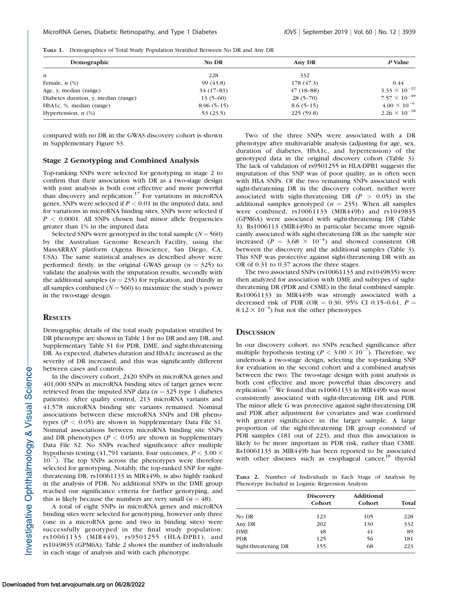TABLE 1. Demographics of Total Study Population Stratified Between No DR and Any DR

| Demographic                          | No DR        | <b>Any DR</b> | P Value                |
|--------------------------------------|--------------|---------------|------------------------|
| $\boldsymbol{n}$                     | 228          | 332           |                        |
| Female, $n$ $(\%)$                   | 99 (43.8)    | 178(47.3)     | 0.44                   |
| Age, y, median (range)               | $34(17-83)$  | $47(18-88)$   | $3.33 \times 10^{-22}$ |
| Diabetes duration, y, median (range) | $13(5-60)$   | $28(5-70)$    | $7.57 \times 10^{-49}$ |
| HbA1c, %, median (range)             | $8.06(5-15)$ | $8.6(5-15)$   | $4.00 \times 10^{-6}$  |
| Hypertension, $n$ $(\%)$             | 53(23.5)     | 225(59.8)     | $2.26 \times 10^{-18}$ |

compared with no DR in the GWAS discovery cohort is shown in [Supplementary Figure S3](https://arvo.silverchair-cdn.com/arvo/content_public/journal/iovs/938183/iovs-60-12-10_s06.pdf?Expires=1569008745&Signature=05ee5xvEv3dSSQcVv22ifNd9AWDPT4KgfRm7qhwTf6EgHLd0QxhK0nnwvp6gvoSKC6wWoOavA-dTVBu5evRVpjid8kAmlS3uUjWucfNop0fF4aSgJg4yTv9herPcu3w5aTZCwJd25LEcB~yN5ctR3COSUizlpFM-hk7u7d-E~mdraX1hCHMYRNRghmUWDvRN4Kd0b6doGqJDjibPdVJMHW35sD6xNx9hskXyb-Q-eCBzqOub~RM7Z2OqWEaoMLDh9-URH~vp1ExZh7vqBxPYY9IXDMZOxzGkygwWFFw8X5zvByqW8PJxG263TDCixa2WXT9thnRJfqchDXxh9Y1UFQ__&Key-Pair-Id=APKAIE5G5CRDK6RD3PGA).

#### Stage 2 Genotyping and Combined Analysis

Top-ranking SNPs were selected for genotyping in stage 2 to confirm that their association with DR as a two-stage design with joint analysis is both cost effective and more powerful than discovery and replication.<sup>17</sup> For variations in microRNA genes, SNPs were selected if  $P < 0.01$  in the imputed data, and for variations in microRNA binding sites, SNPs were selected if  $P < 0.0001$ . All SNPs chosen had minor allele frequencies greater than 1% in the imputed data.

Selected SNPs were genotyped in the total sample  $(N=560)$ by the Australian Genome Research Facility, using the MassARRAY platform (Agena Bioscience, San Diego, CA, USA). The same statistical analyses as described above were performed: firstly, in the original GWAS group ( $n = 325$ ) to validate the analysis with the imputation results, secondly with the additional samples ( $n = 235$ ) for replication, and thirdly in all samples combined ( $N = 560$ ) to maximize the study's power in the two-stage design.

## **RESULTS**

Demographic details of the total study population stratified by DR phenotype are shown in Table 1 for no DR and any DR, and [Supplementary Table S1](https://arvo.silverchair-cdn.com/arvo/content_public/journal/iovs/938183/iovs-60-12-10_s03.pdf?Expires=1569008745&Signature=cgSVW8VYN~cwSxuhzHBTbp-6YhHzIcR-Hdii1EV1x2rxkwkiFLDJyMpX5-rBxwvSYYrM~ljyLbSwnhiaum7o-t1Qq5jxWi1gdYLHHio7k2xL7xy7Uy2PBeS8oOu73xvBeRKjxW0LlwJPJoEgpnEgCfQBD9Pz-cTodGOgrXUXcGfKKcAsG2fOTBb2ZK2g7yix08~mV1Z7KvQGCKC0ixl6Ny7U5Hf4hglJcU8nYf5ljdEqDpUYuvNGf-62zBNpMl4kibCK~nS-07Ju8xVeiPDvLjsd2c2bo6ILck1bexnesqPRjPJshdLD9LefbUeBso1QQnS50Nh69JvIpjMjPacrvA__&Key-Pair-Id=APKAIE5G5CRDK6RD3PGA) for PDR, DME, and sight-threatening DR. As expected, diabetes duration and HbA1c increased as the severity of DR increased, and this was significantly different between cases and controls.

In the discovery cohort, 2420 SNPs in microRNA genes and 401,000 SNPs in microRNA binding sites of target genes were retrieved from the imputed SNP data ( $n = 325$  type 1 diabetes patients). After quality control, 213 microRNA variants and 41,578 microRNA binding site variants remained. Nominal associations between these microRNA SNPs and DR phenotypes ( $P < 0.05$ ) are shown in [Supplementary Data File S1.](https://arvo.silverchair-cdn.com/arvo/content_public/journal/iovs/938183/iovs-60-12-10_s01.xlsx?Expires=1569008745&Signature=SSYHEUaNc75D-aPY1kfDR9g38kH6JPmfeudBaG8lhX6B5EWFyXm6baqxkcC2NEQPoTGLMgY5Mq34a4Oqi-OyLz6Ebvbrmj8UDrRU8KSWbPKPEypNI5nzY8mx0i3d9~J--soz2mTH3La9F5oSmucUaCMq74X8TJLUPiP7AxyBJjr~QHOYxZde6L5neABcmPrK7S~hLO0ANTj5~Hx6puWSD~rfdtc0TdY7zfGdd9ngfxYF~xjxCa70OTdOa7KxH8tllQydu-JPjWEYc1qOjmJ4DPIJPzkLVde~QKqto1gf1DRI6hPCrbva7HXU1hXIUhKgEbBLr51VgGK04CPx4JzwhA__&Key-Pair-Id=APKAIE5G5CRDK6RD3PGA) Nominal associations between microRNA binding site SNPs and DR phenotypes ( $P < 0.05$ ) are shown in [Supplementary](https://arvo.silverchair-cdn.com/arvo/content_public/journal/iovs/938183/iovs-60-12-10_s02.xlsx?Expires=1569008745&Signature=Pz5FAdrvBzbQMlHxjAZoIFOv7c2nCkT3eOtQ0BQ9PneuH99wpw~QH7ckss~vZ-IWBS5OkisJvUKiVp3itw6RO5rqbsjsN5Tj~S9XNVbXkTY1Apo7luXne9Hhd62vuPNsy9lq11izxJAJ5~xaz-M6emjz9AfxFeiQ0pQr5R9PIr8cANuMxaE-uwn-d2f9CL13ptbaxhswlmhW~wca4JXa44MDASOgQg1qRmr8st8Ap8XzGJT6N3oSMa9cLbsxP4G~OwEsJtzAccU5y83vvic0VhrUndyHX~mMwDF5kTaHBk~FqdcHoeNAQsoYfJC7gekK9TiOW2lT-rIXBXKgo2c7WQ__&Key-Pair-Id=APKAIE5G5CRDK6RD3PGA) [Data File S2.](https://arvo.silverchair-cdn.com/arvo/content_public/journal/iovs/938183/iovs-60-12-10_s02.xlsx?Expires=1569008745&Signature=Pz5FAdrvBzbQMlHxjAZoIFOv7c2nCkT3eOtQ0BQ9PneuH99wpw~QH7ckss~vZ-IWBS5OkisJvUKiVp3itw6RO5rqbsjsN5Tj~S9XNVbXkTY1Apo7luXne9Hhd62vuPNsy9lq11izxJAJ5~xaz-M6emjz9AfxFeiQ0pQr5R9PIr8cANuMxaE-uwn-d2f9CL13ptbaxhswlmhW~wca4JXa44MDASOgQg1qRmr8st8Ap8XzGJT6N3oSMa9cLbsxP4G~OwEsJtzAccU5y83vvic0VhrUndyHX~mMwDF5kTaHBk~FqdcHoeNAQsoYfJC7gekK9TiOW2lT-rIXBXKgo2c7WQ__&Key-Pair-Id=APKAIE5G5CRDK6RD3PGA) No SNPs reached significance after multiple hypothesis testing (41,791 variants, four outcomes,  $P < 3.00 \times$  $10^{-7}$ ). The top SNPs across the phenotypes were therefore selected for genotyping. Notably, the top-ranked SNP for sightthreatening DR, rs10061133 in MIR449b, is also highly ranked in the analysis of PDR. No additional SNPs in the DME group reached our significance criteria for further genotyping, and this is likely because the numbers are very small  $(n = 48)$ .

A total of eight SNPs in microRNA genes and microRNA binding sites were selected for genotyping, however only three (one in a microRNA gene and two in binding sites) were successfully genotyped in the final study population: rs10061133 (MIR449), rs9501255 (HLA-DPB1), and rs1049835 (GPM6A). Table 2 shows the number of individuals in each stage of analysis and with each phenotype.

Two of the three SNPs were associated with a DR phenotype after multivariable analysis (adjusting for age, sex, duration of diabetes, HbA1c, and hypertension) of the genotyped data in the original discovery cohort (Table 3). The lack of validation of rs9501255 in HLA-DPB1 suggests the imputation of this SNP was of poor quality, as is often seen with HLA SNPs. Of the two remaining SNPs associated with sight-threatening DR in the discovery cohort, neither were associated with sight-threatening DR ( $P > 0.05$ ) in the additional samples genotyped ( $n = 235$ ). When all samples were combined, rs10061133 (MIR449b) and rs1049835 (GPM6A) were associated with sight-threatening DR (Table 3). Rs1006113 (MIR449b) in particular became more significantly associated with sight-threatening DR as the sample size increased ( $P = 3.68 \times 10^{-4}$ ) and showed consistent OR between the discovery and the additional samples (Table 3). This SNP was protective against sight-threatening DR with an OR of 0.31 to 0.37 across the three stages.

The two associated SNPs (rs10061133 and rs1049835) were then analyzed for association with DME and subtypes of sightthreatening DR (PDR and CSME) in the final combined sample. Rs10061133 in MIR449b was strongly associated with a decreased risk of PDR (OR = 0.30, 95% CI 0.15-0.61,  $P =$  $8.12 \times 10^{-4}$ ) but not the other phenotypes.

#### **DISCUSSION**

In our discovery cohort, no SNPs reached significance after multiple hypothesis testing ( $P < 3.00 \times 10^{-7}$ ). Therefore, we undertook a two-stage design, selecting the top-ranking SNP for evaluation in the second cohort and a combined analysis between the two. The two-stage design with joint analysis is both cost effective and more powerful than discovery and replication.<sup>17</sup> We found that rs10061133 in MIR449b was most consistently associated with sight-threatening DR and PDR. The minor allele G was protective against sight-threatening DR and PDR after adjustment for covariates and was confirmed with greater significance in the larger sample. A large proportion of the sight-threatening DR group consisted of PDR samples (181 out of 223), and thus this association is likely to be more important in PDR risk, rather than CSME. Rs10061133 in MIR449b has been reported to be associated with other diseases such as esophageal cancer,<sup>18</sup> thyroid

TABLE 2. Number of Individuals in Each Stage of Analysis by Phenotype Included in Logistic Regression Analysis

|                      | <b>Discovery</b><br>Cohort | Additional<br>Cohort | Total |
|----------------------|----------------------------|----------------------|-------|
| No DR                | 123                        | 105                  | 228   |
| Any DR               | 202                        | 130                  | 332   |
| <b>DME</b>           | 48                         | 41                   | 89    |
| <b>PDR</b>           | 125                        | 56                   | 181   |
| Sight-threatening DR | 155                        | 68                   | 223   |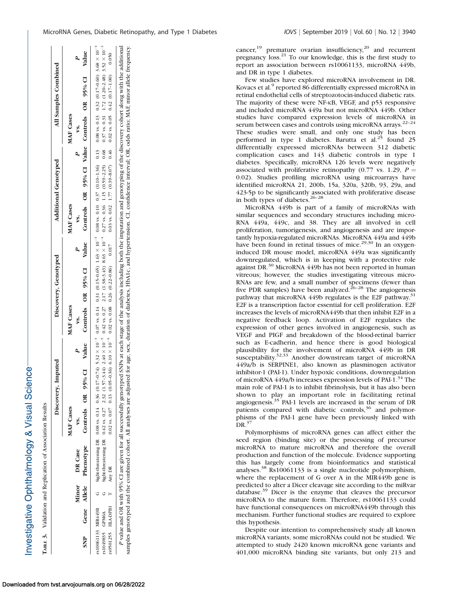| hthalmology & Visual Science |
|------------------------------|
| Ì.<br><b>NITCHTON</b>        |

| I<br>ı      |
|-------------|
|             |
| í<br>í<br>l |
| í<br>i<br>ł |
| l<br>i<br>I |
| t           |
| ļ           |

|                             |       |                                                                                                                                                                                                                                 |                  | Discovery, Imputed |    |                           | Discovery, Genotyped |                                                                                                                                                                        | <b>Additional Genotyped</b> |   |                  | All Samples Combined |   |
|-----------------------------|-------|---------------------------------------------------------------------------------------------------------------------------------------------------------------------------------------------------------------------------------|------------------|--------------------|----|---------------------------|----------------------|------------------------------------------------------------------------------------------------------------------------------------------------------------------------|-----------------------------|---|------------------|----------------------|---|
|                             |       |                                                                                                                                                                                                                                 | <b>MAF Cases</b> |                    |    | MAF Cases                 |                      | MAF Cases                                                                                                                                                              |                             |   | <b>MAF Cases</b> |                      |   |
|                             | Minor | DR Case                                                                                                                                                                                                                         | VS.              |                    | P, | $\overline{\mathbf{v}}$ s |                      | ys.                                                                                                                                                                    |                             | A | $VS$ .           |                      | ۹ |
| SNP                         |       | Gene Allele Phenotype                                                                                                                                                                                                           |                  |                    |    |                           |                      | Controls OR 95%CI Value Controls OR 95%CI Value Controls OR 95%CI Value Controls OR 95%CI Value                                                                        |                             |   |                  |                      |   |
| rs10061133 MIR449B          |       | Sight-threatening DR 0.08 vs. 0.14 0.36 (0.17-0.74) 5.32 × 10 <sup>-9</sup> 0.01 vs. 0.14 0.31 (0.15-0.65) 1.65 × 10 <sup>-3</sup> 0.08 vs. 0.10 0.37 (0.10-1.36) 0.13 0.08 vs. 0.13 0.32 (0.17-0.60) 3.68 × 10 <sup>-4</sup>   |                  |                    |    |                           |                      |                                                                                                                                                                        |                             |   |                  |                      |   |
| rs1049835 GPM6A             |       | G Sight-threatening DR 0.42 vs. 0.27 2.32 (1.57-3.44) 2.40 × 10 <sup>-5</sup> 0.42 vs. 0.27 2.17 (1.38-3.43) 8.63 × 10 <sup>-4</sup> 0.27 vs. 0.36 1.15 (0.59-2.25) 0.68 0.37 vs. 0.31 1.72 (1.20-2.48) 3.52 × 10 <sup>-5</sup> |                  |                    |    |                           |                      |                                                                                                                                                                        |                             |   |                  |                      |   |
| rs9501255 HLA-DPB1 T Any DR |       |                                                                                                                                                                                                                                 |                  |                    |    |                           |                      | $0.02$ vs. 0.07 0.13 (0.05-0.36) 6.10 × 10 <sup>-5</sup> 0.02 vs. 0.08 0.26 (0.22-0.86) 0.017 0.03 vs. 0.02 1.77 (0.39-8.07) 0.46 0.02 vs. 0.05 0.42 (0.17-1.00) 0.050 |                             |   |                  |                      |   |
|                             |       |                                                                                                                                                                                                                                 |                  |                    |    |                           |                      |                                                                                                                                                                        |                             |   |                  |                      |   |
|                             |       | P value and OR with 95% CI are given for all successfully genotyped SNPs at each stage of the analysis including both the imputation and genotyping of the discovery cohort along with the additional                           |                  |                    |    |                           |                      |                                                                                                                                                                        |                             |   |                  |                      |   |
|                             |       | samples genotyped and the combined cohort. All analyses are adjusted for age, sex, duration of diabetes, HbA1c, and hypertension. CI, confidence interval; OR, odds ratio; MAR minor allele frequency.                          |                  |                    |    |                           |                      |                                                                                                                                                                        |                             |   |                  |                      |   |

cancer,<sup>19</sup> premature ovarian insufficiency,<sup>20</sup> and recurrent pregnancy  $loss<sup>21</sup>$  To our knowledge, this is the first study to report an association between rs10061133, microRNA 449b, and DR in type 1 diabetes.

Few studies have explored microRNA involvement in DR. Kovacs et al.<sup>9</sup> reported 86 differentially expressed microRNA in retinal endothelial cells of streptozotocin-induced diabetic rats. The majority of these were NF-KB, VEGF, and p53 responsive and included microRNA 449a but not microRNA 449b. Other studies have compared expression levels of microRNA in serum between cases and controls using microRNA arrays.  $22-24$ These studies were small, and only one study has been performed in type 1 diabetes. Barutta et al.<sup>25</sup> found 25 differentially expressed microRNAs between 312 diabetic complication cases and 143 diabetic controls in type 1 diabetes. Specifically, microRNA 126 levels were negatively associated with proliferative retinopathy (0.77 vs. 1.29,  $P =$ 0.02). Studies profiling microRNA using microarrays have identified microRNA 21, 200b, 15a, 320a, 320b, 93, 29a, and 423-5p to be significantly associated with proliferative disease in both types of diabetes.26–28

MicroRNA 449b is part of a family of microRNAs with similar sequences and secondary structures including micro-RNA 449a, 449c, and 38. They are all involved in cell proliferation, tumorigenesis, and angiogenesis and are importantly hypoxia-regulated microRNAs. MicroRNA 449a and 449b have been found in retinal tissues of mice.<sup>29,30</sup> In an oxygeninduced DR mouse model, microRNA 449a was significantly downregulated, which is in keeping with a protective role against DR.<sup>30</sup> MicroRNA 449b has not been reported in human vitreous; however, the studies investigating vitreous micro-RNAs are few, and a small number of specimens (fewer than five PDR samples) have been analyzed.<sup>26–28</sup> The angiogenesis pathway that microRNA 449b regulates is the E2F pathway.<sup>3</sup> E2F is a transcription factor essential for cell proliferation. E2F increases the levels of microRNA449b that then inhibit E2F in a negative feedback loop. Activation of E2F regulates the expression of other genes involved in angiogenesis, such as VEGF and PIGF and breakdown of the blood-retinal barrier such as E-cadherin, and hence there is good biological plausibility for the involvement of microRNA 449b in DR susceptability.<sup>32,33</sup> Another downstream target of microRNA 449a/b is SERPINE1, also known as plasminogen activator inhibitor-1 (PAI-1). Under hypoxic conditions, downregulation of microRNA 449a/b increases expression levels of PAI-1.<sup>34</sup> The main role of PAI-1 is to inhibit fibrinolysis, but it has also been shown to play an important role in facilitating retinal angiogenesis.<sup>35</sup> PAI-1 levels are increased in the serum of DR patients compared with diabetic controls,<sup>36</sup> and polymorphisms of the PAI-1 gene have been previously linked with  $DR.<sup>37</sup>$ 

Polymorphisms of microRNA genes can affect either the seed region (binding site) or the processing of precursor microRNA to mature microRNA and therefore the overall production and function of the molecule. Evidence supporting this has largely come from bioinformatics and statistical analyses.<sup>38</sup> Rs10061133 is a single nucleotide polymorphism, where the replacement of G over A in the MIR449b gene is predicted to alter a Dicer cleavage site according to the miRvar database.<sup>39</sup> Dicer is the enzyme that cleaves the precursor microRNA to the mature form. Therefore, rs10061133 could have functional consequences on microRNA449b through this mechanism. Further functional studies are required to explore this hypothesis.

Despite our intention to comprehensively study all known microRNA variants, some microRNAs could not be studied. We attempted to study 2420 known microRNA gene variants and 401,000 microRNA binding site variants, but only 213 and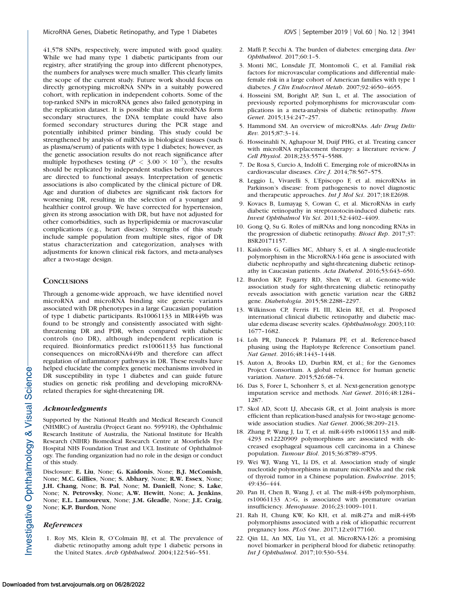41,578 SNPs, respectively, were imputed with good quality. While we had many type 1 diabetic participants from our registry, after stratifying the group into different phenotypes, the numbers for analyses were much smaller. This clearly limits the scope of the current study. Future work should focus on directly genotyping microRNA SNPs in a suitably powered cohort, with replication in independent cohorts. Some of the top-ranked SNPs in microRNA genes also failed genotyping in the replication dataset. It is possible that as microRNAs form secondary structures, the DNA template could have also formed secondary structures during the PCR stage and potentially inhibited primer binding. This study could be strengthened by analysis of miRNAs in biological tissues (such as plasma/serum) of patients with type 1 diabetes; however, as the genetic association results do not reach significance after multiple hypotheses testing ( $P < 3.00 \times 10^{-7}$ ), the results should be replicated by independent studies before resources are directed to functional assays. Interpretation of genetic associations is also complicated by the clinical picture of DR. Age and duration of diabetes are significant risk factors for worsening DR, resulting in the selection of a younger and healthier control group. We have corrected for hypertension, given its strong association with DR, but have not adjusted for other comorbidities, such as hyperlipidemia or macrovascular complications (e.g., heart disease). Strengths of this study include sample population from multiple sites, rigor of DR status characterization and categorization, analyses with adjustments for known clinical risk factors, and meta-analyses after a two-stage design.

## **CONCLUSIONS**

Through a genome-wide approach, we have identified novel microRNA and microRNA binding site genetic variants associated with DR phenotypes in a large Caucasian population of type 1 diabetic participants. Rs10061133 in MIR449b was found to be strongly and consistently associated with sightthreatening DR and PDR, when compared with diabetic controls (no DR), although independent replication is required. Bioinformatics predict rs10061133 has functional consequences on microRNA449b and therefore can affect regulation of inflammatory pathways in DR. These results have helped elucidate the complex genetic mechanisms involved in DR susceptibility in type 1 diabetes and can guide future studies on genetic risk profiling and developing microRNArelated therapies for sight-threatening DR.

#### Acknowledgments

Supported by the National Health and Medical Research Council (NHMRC) of Australia (Project Grant no. 595918), the Ophthalmic Research Institute of Australia, the National Institute for Health Research (NIHR) Biomedical Research Centre at Moorfields Eye Hospital NHS Foundation Trust and UCL Institute of Ophthalmology. The funding organization had no role in the design or conduct of this study.

Disclosure: E. Liu, None; G. Kaidonis, None; B.J. McComish, None; M.C. Gillies, None; S. Abhary, None; R.W. Essex, None; J.H. Chang, None; B. Pal, None; M. Daniell, None; S. Lake, None; N. Petrovsky, None; A.W. Hewitt, None; A. Jenkins, None; E.L. Lamoureux, None; J.M. Gleadle, None; J.E. Craig, None; K.P. Burdon, None

#### References

1. Roy MS, Klein R, O'Colmain BJ, et al. The prevalence of diabetic retinopathy among adult type 1 diabetic persons in the United States. Arch Ophthalmol. 2004;122:546-551.

- 
- 2. Maffi P, Secchi A. The burden of diabetes: emerging data. Dev Ophthalmol. 2017;60:1–5.
- 3. Monti MC, Lonsdale JT, Montomoli C, et al. Familial risk factors for microvascular complications and differential malefemale risk in a large cohort of American families with type 1 diabetes. J Clin Endocrinol Metab. 2007;92:4650–4655.
- 4. Hosseini SM, Boright AP, Sun L, et al. The association of previously reported polymorphisms for microvascular complications in a meta-analysis of diabetic retinopathy. Hum Genet. 2015;134:247–257.
- 5. Hammond SM. An overview of microRNAs. Adv Drug Deliv Rev. 2015;87:3–14.
- 6. Hosseinahli N, Aghapour M, Duijf PHG, et al. Treating cancer with microRNA replacement therapy: a literature review. J Cell Physiol. 2018;233:5574–5588.
- 7. De Rosa S, Curcio A, Indolfi C. Emerging role of microRNAs in cardiovascular diseases. Circ J. 2014;78:567–575.
- 8. Leggio L, Vivarelli S, L'Episcopo F, et al. microRNAs in Parkinson's disease: from pathogenesis to novel diagnostic and therapeutic approaches. Int J Mol Sci. 2017;18:E2698.
- 9. Kovacs B, Lumayag S, Cowan C, et al. MicroRNAs in early diabetic retinopathy in streptozotocin-induced diabetic rats. Invest Ophthalmol Vis Sci. 2011;52:4402–4409.
- 10. Gong Q, Su G. Roles of miRNAs and long noncoding RNAs in the progression of diabetic retinopathy. Biosci Rep. 2017;37: BSR20171157.
- 11. Kaidonis G, Gillies MC, Abhary S, et al. A single-nucleotide polymorphism in the MicroRNA-146a gene is associated with diabetic nephropathy and sight-threatening diabetic retinopathy in Caucasian patients. Acta Diabetol. 2016;53:643–650.
- 12. Burdon KP, Fogarty RD, Shen W, et al. Genome-wide association study for sight-threatening diabetic retinopathy reveals association with genetic variation near the GRB2 gene. Diabetologia. 2015;58:2288–2297.
- 13. Wilkinson CP, Ferris FL III, Klein RE, et al. Proposed international clinical diabetic retinopathy and diabetic macular edema disease severity scales. Ophthalmology. 2003;110: 1677–1682.
- 14. Loh PR, Danecek P, Palamara PF, et al. Reference-based phasing using the Haplotype Reference Consortium panel. Nat Genet. 2016;48:1443–1448.
- 15. Auton A, Brooks LD, Durbin RM, et al.; for the Genomes Project Consortium. A global reference for human genetic variation. Nature. 2015;526:68–74.
- 16. Das S, Forer L, Schonherr S, et al. Next-generation genotype imputation service and methods. Nat Genet. 2016;48:1284– 1287.
- 17. Skol AD, Scott LJ, Abecasis GR, et al. Joint analysis is more efficient than replication-based analysis for two-stage genomewide association studies. Nat Genet. 2006;38:209–213.
- 18. Zhang P, Wang J, Lu T, et al. miR-449b rs10061133 and miR-4293 rs12220909 polymorphisms are associated with decreased esophageal squamous cell carcinoma in a Chinese population. Tumour Biol. 2015;36:8789–8795.
- 19. Wei WJ, Wang YL, Li DS, et al. Association study of single nucleotide polymorphisms in mature microRNAs and the risk of thyroid tumor in a Chinese population. Endocrine. 2015; 49:436–444.
- 20. Pan H, Chen B, Wang J, et al. The miR-449b polymorphism, rs10061133 A>G, is associated with premature ovarian insufficiency. Menopause. 2016;23:1009–1011.
- 21. Rah H, Chung KW, Ko KH, et al. miR-27a and miR-449b polymorphisms associated with a risk of idiopathic recurrent pregnancy loss. PLoS One. 2017;12:e0177160.
- 22. Qin LL, An MX, Liu YL, et al. MicroRNA-126: a promising novel biomarker in peripheral blood for diabetic retinopathy. Int J Ophthalmol. 2017;10:530–534.

Investigative Ophthalmology & Visual Science